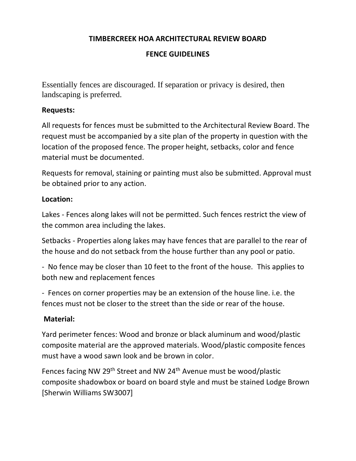### **TIMBERCREEK HOA ARCHITECTURAL REVIEW BOARD**

# **FENCE GUIDELINES**

Essentially fences are discouraged. If separation or privacy is desired, then landscaping is preferred.

### **Requests:**

All requests for fences must be submitted to the Architectural Review Board. The request must be accompanied by a site plan of the property in question with the location of the proposed fence. The proper height, setbacks, color and fence material must be documented.

Requests for removal, staining or painting must also be submitted. Approval must be obtained prior to any action.

## **Location:**

Lakes - Fences along lakes will not be permitted. Such fences restrict the view of the common area including the lakes.

Setbacks - Properties along lakes may have fences that are parallel to the rear of the house and do not setback from the house further than any pool or patio.

- No fence may be closer than 10 feet to the front of the house. This applies to both new and replacement fences

- Fences on corner properties may be an extension of the house line. i.e. the fences must not be closer to the street than the side or rear of the house.

# **Material:**

Yard perimeter fences: Wood and bronze or black aluminum and wood/plastic composite material are the approved materials. Wood/plastic composite fences must have a wood sawn look and be brown in color.

Fences facing NW 29<sup>th</sup> Street and NW 24<sup>th</sup> Avenue must be wood/plastic composite shadowbox or board on board style and must be stained Lodge Brown [Sherwin Williams SW3007]